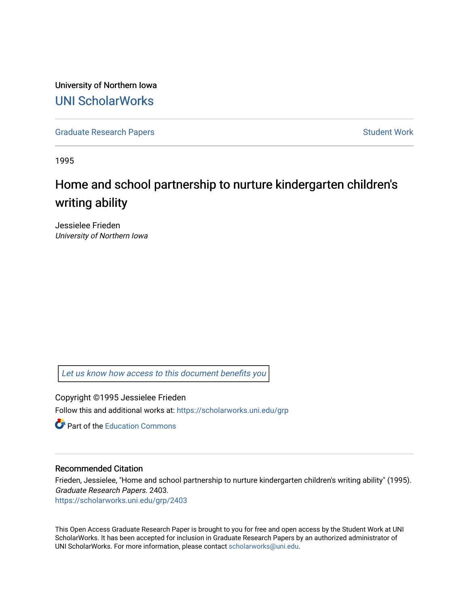University of Northern Iowa [UNI ScholarWorks](https://scholarworks.uni.edu/) 

[Graduate Research Papers](https://scholarworks.uni.edu/grp) **Student Work** Student Work

1995

# Home and school partnership to nurture kindergarten children's writing ability

Jessielee Frieden University of Northern Iowa

[Let us know how access to this document benefits you](https://scholarworks.uni.edu/feedback_form.html) 

Copyright ©1995 Jessielee Frieden Follow this and additional works at: [https://scholarworks.uni.edu/grp](https://scholarworks.uni.edu/grp?utm_source=scholarworks.uni.edu%2Fgrp%2F2403&utm_medium=PDF&utm_campaign=PDFCoverPages) 

**C** Part of the [Education Commons](http://network.bepress.com/hgg/discipline/784?utm_source=scholarworks.uni.edu%2Fgrp%2F2403&utm_medium=PDF&utm_campaign=PDFCoverPages)

# Recommended Citation

Frieden, Jessielee, "Home and school partnership to nurture kindergarten children's writing ability" (1995). Graduate Research Papers. 2403.

[https://scholarworks.uni.edu/grp/2403](https://scholarworks.uni.edu/grp/2403?utm_source=scholarworks.uni.edu%2Fgrp%2F2403&utm_medium=PDF&utm_campaign=PDFCoverPages) 

This Open Access Graduate Research Paper is brought to you for free and open access by the Student Work at UNI ScholarWorks. It has been accepted for inclusion in Graduate Research Papers by an authorized administrator of UNI ScholarWorks. For more information, please contact [scholarworks@uni.edu.](mailto:scholarworks@uni.edu)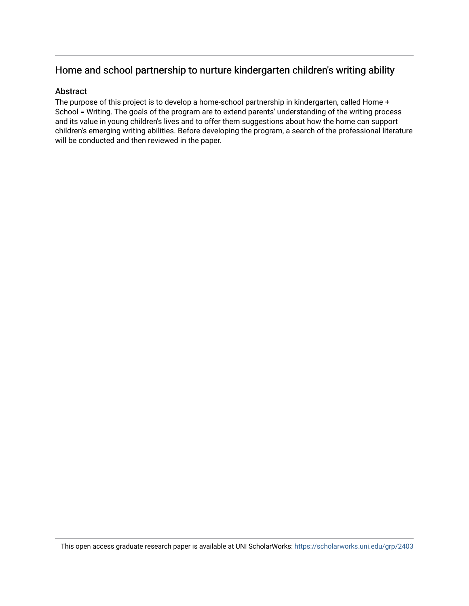# Home and school partnership to nurture kindergarten children's writing ability

# Abstract

The purpose of this project is to develop a home-school partnership in kindergarten, called Home + School = Writing. The goals of the program are to extend parents' understanding of the writing process and its value in young children's lives and to offer them suggestions about how the home can support children's emerging writing abilities. Before developing the program, a search of the professional literature will be conducted and then reviewed in the paper.

This open access graduate research paper is available at UNI ScholarWorks: <https://scholarworks.uni.edu/grp/2403>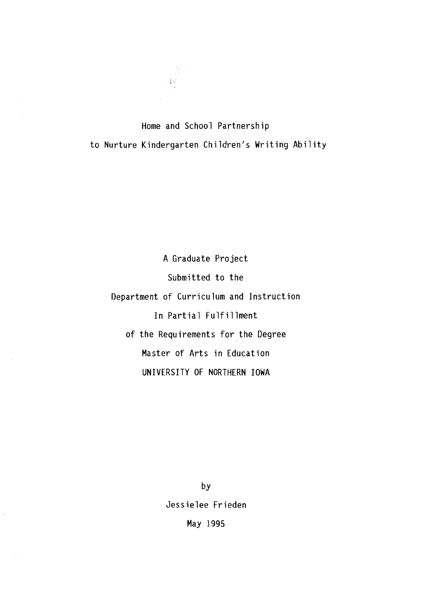Home and School Partnership to Nurture Kindergarten Children's Writing Ability

 $\int \frac{1}{2}$ 

A Graduate Project Submitted to the Department of Curriculum and Instruction In Partial Fulfillment of the Requirements for the Degree Master of Arts in Education UNIVERSITY OF NORTHERN IOWA

> by Jessielee Frieden May 1995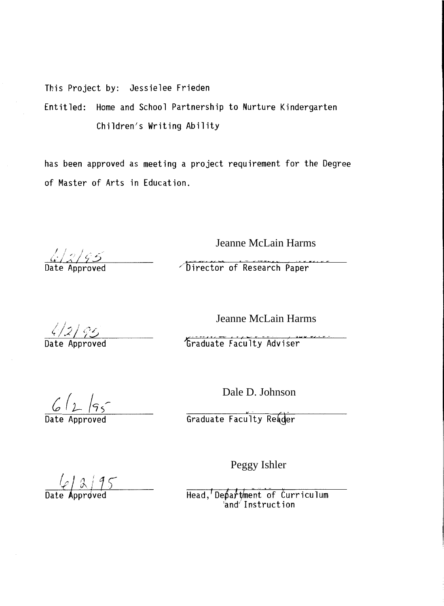This Project by: Jessielee Frieden

Entitled: Home and School Partnership to Nurture Kindergarten Children's Writing Ability

has been approved as meeting a project requirement for the Degree of Master of Arts in Education.

 $\frac{2}{2}$ 

Jeanne McLain Harms

Director of Research Paper

 $\frac{4}{2}\frac{6}{2}$ 

Jeanne McLain Harms

Graduate Faculty Adviser

 $\frac{6}{2}\frac{7}{5}$ <br>Date Approved Graduate Faculty Reader

Dale D. Johnson

Peggy Ishler

Date Approved **Head, Department of Curriculum** 'and✓ Instruction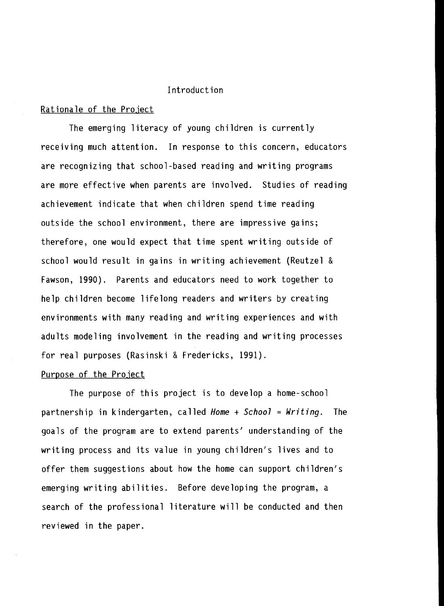#### Introduction

#### Rationale of the Project

The emerging literacy of young children is currently receiving much attention. In response to this concern, educators are recognizing that school-based reading and writing programs are more effective when parents are involved. Studies of reading achievement indicate that when children spend time reading outside the school environment, there are impressive gains; therefore, one would expect that time spent writing outside of school would result in gains in writing achievement (Reutzel & Fawson, 1990). Parents and educators need to work together to help children become lifelong readers and writers by creating environments with many reading and writing experiences and with adults modeling involvement in the reading and writing processes for real purposes (Rasinski & Fredericks, 1991).

#### Purpose of the Project

The purpose of this project is to develop a home-school partnership in kindergarten, called *Home+ School= Writing.* The goals of the program are to extend parents' understanding of the writing process and its value in young children's lives and to offer them suggestions about how the home can support children's emerging writing abilities. Before developing the program, a search of the professional literature will be conducted and then reviewed in the paper.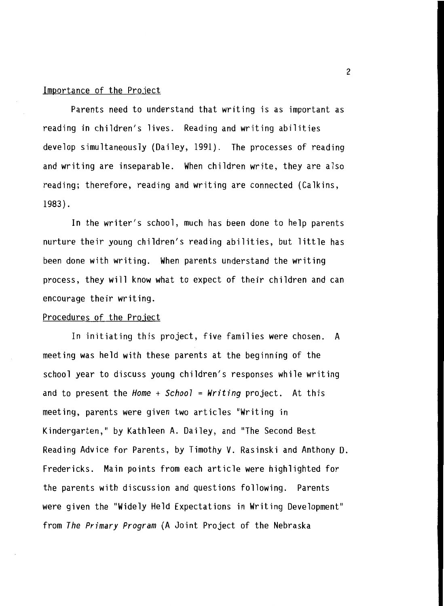# Importance of the Project

Parents need to understand that writing is as important as reading in children's lives. Reading and writing abilities develop simultaneously (Dailey, 1991). The processes of reading and writing are inseparable. When children write, they are also reading; therefore, reading and writing are connected (Calkins, 1983).

In the writer's school, much has been done to help parents nurture their young children's reading abilities, but little has been done with writing. When parents understand the writing process, they will know what to expect of their children and can encourage their writing.

## Procedures of the Project

In initiating this project, five families were chosen. A meeting was held with these parents at the beginning of the school year to discuss young children's responses while writing and to present the *Home+ School= Writing* project. At this meeting, parents were given two articles "Writing in Kindergarten," by Kathleen A. Dailey, and "The Second Best Reading Advice for Parents, by Timothy V. Rasinski and Anthony D. Fredericks. Main points from each article were highlighted for the parents with discussion and questions following. Parents were given the "Widely Held Expectations in Writing Development'' from *The Primary Program* (A Joint Project of the Nebraska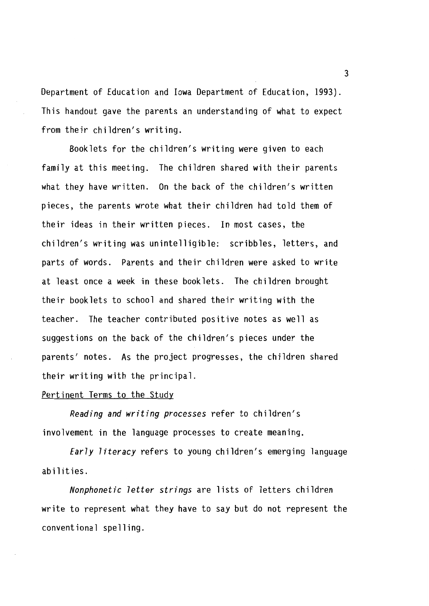Department of Education and Iowa Department of Education, 1993). This handout gave the parents an understanding of what to expect from their children's writing.

Booklets for the children's writing were given to each family at this meeting. The children shared with their parents what they have written. On the back of the children's written pieces, the parents wrote what their children had told them of their ideas in their written pieces. In most cases, the children's writing was unintelligible: scribbles, letters, and parts of words. Parents and their children were asked to write at least once a week in these booklets. The children brought their booklets to school and shared their writing with the teacher. The teacher contributed positive notes as well as suggestions on the back of the children's pieces under the parents' notes. As the project progresses, the children shared their writing with the principal.

#### Pertinent Terms to the Study

*Readjng and wrjtjng processes* refer to children's involvement in the language processes to create meaning.

*Early ljteracy* refers to young children's emerging language abilities.

*Nonphonetjc letter strjngs* are lists of letters children write to represent what they have to say but do not represent the conventional spelling.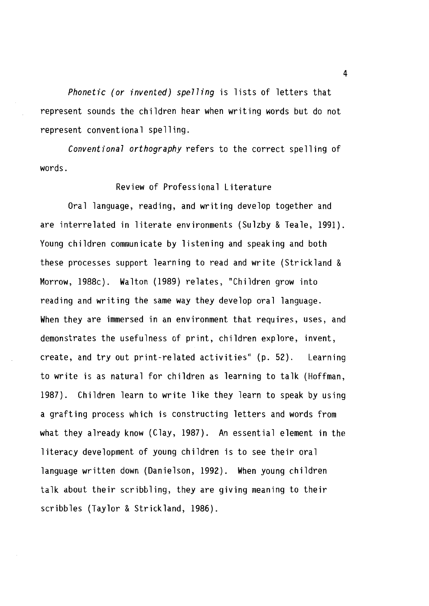*Phonetic (or invented) spelling* is lists of letters that represent sounds the children hear when writing words but do not represent conventional spelling.

*Conventional orthography* refers to the correct spelling of words.

#### Review of Professional Literature

Oral language, reading, and writing develop together and are interrelated in literate environments (Sulzby & Teale, 1991). Young children communicate by listening and speaking and both these processes support learning to read and write (Strickland & Morrow, 1988c). Walton (1989) relates, "Children grow into reading and writing the same way they develop oral language. When they are immersed in an environment that requires, uses, and demonstrates the usefulness of print, children explore, invent, create, and try out print-related activities" (p. 52). Learning to write is as natural for children as learning to talk (Hoffman, 1987). Children learn to write like they learn to speak by using a grafting process which is constructing letters and words from what they already know (Clay, 1987). An essential element in the literacy development of young children is to see their oral language written down (Danielson, 1992). When young children talk about their scribbling, they are giving meaning to their scribbles (Taylor & Strickland, 1986).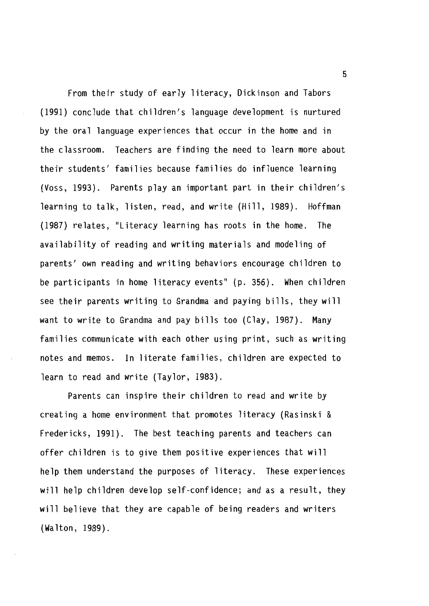From their study of early literacy, Dickinson and Tabors (1991) conclude that children's language development is nurtured by the oral language experiences that occur in the home and in the classroom. Teachers are finding the need to learn more about their students' families because families do influence learning (Voss, 1993). Parents play an important part in their children's learning to talk, listen, read, and write (Hill, 1989). Hoffman (1987) relates, "Literacy learning has roots in the home. The availability of reading and writing materials and modeling of parents' own reading and writing behaviors encourage children to be participants in home literacy events" (p. 356). When children see their parents writing to Grandma and paying bills, they will want to write to Grandma and pay bills too (Clay, 1987). Many families communicate with each other using print, such as writing notes and memos. In literate families, children are expected to learn to read and write (Taylor, 1983).

Parents can inspire their children to read and write by creating a home environment that promotes literacy (Rasinski & Fredericks, 1991). The best teaching parents and teachers can offer children is to give them positive experiences that will help them understand the purposes of literacy. These experiences will help children develop self-confidence; and as a result, they will believe that they are capable of being readers and writers (Walton, 1989).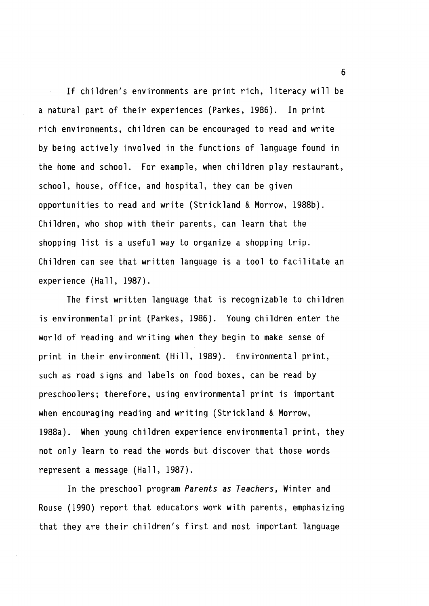If children's environments are print rich, literacy will be a natural part of their experiences (Parkes, 1986). In print rich environments, children can be encouraged to read and write by being actively involved in the functions of language found in the home and school. For example, when children play restaurant, school, house, office, and hospital, they can be given opportunities to read and write (Strickland & Morrow, 1988b). Children, who shop with their parents, can learn that the shopping list is a useful way to organize a shopping trip. Children can see that written language is a tool to facilitate an experience (Hall, 1987).

The first written language that is recognizable to children is environmental print (Parkes, 1986). Young children enter the world of reading and writing when they begin to make sense of print in their environment (Hill, 1989). Environmental print, such as road signs and labels on food boxes, can be read by preschoolers; therefore, using environmental print is important when encouraging reading and writing (Strickland & Morrow, 1988a). When young children experience environmental print, they not only learn to read the words but discover that those words represent a message (Hall, 1987).

In the preschool program *Parents as Teachers,* Winter and Rouse (1990) report that educators work with parents, emphasizing that they are their children's first and most important language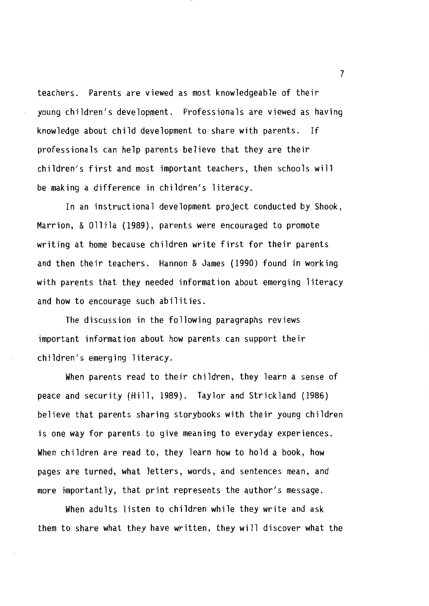teachers. Parents are viewed as most knowledgeable of their young children's development. Professionals are viewed as having knowledge about child development to share with parents. If professionals can help parents believe that they are their children's first and most important teachers, then schools will be making a difference in children's literacy.

In an instructional development project conducted by Shook, Marrion, & Ollila (1989), parents were encouraged to promote writing at home because children write first for their parents and then their teachers. Hannon & James (1990) found in working with parents that they needed information about emerging literacy and how to encourage such abilities.

The discussion in the following paragraphs reviews important information about how parents can support their children's emerging literacy.

When parents read to their children, they learn a sense of peace and security (Hill, 1989). Taylor and Strickland (1986) believe that parents sharing storybooks with their young children is one way for parents to give meaning to everyday experiences. When children are read to, they learn how to hold a book, how pages are turned, what letters, words, and sentences mean, and more importantly, that print represents the author's message.

When adults listen to children while they write and ask them to share what they have written, they will discover what the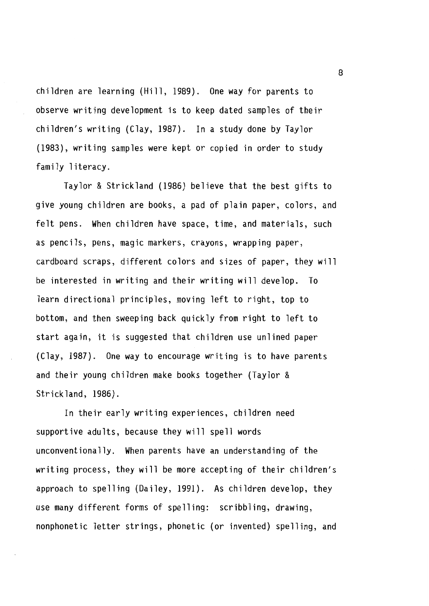children are learning (Hill, 1989). One way for parents to observe writing development is to keep dated samples of their children's writing (Clay, 1987). In a study done by Taylor (1983), writing samples were kept or copied in order to study family literacy.

Taylor & Strickland (1986) believe that the best gifts to give young children are books, a pad of plain paper, colors, and felt pens. When children have space, time, and materials, such as pencils, pens, magic markers, crayons, wrapping paper, cardboard scraps, different colors and sizes of paper, they will be interested in writing and their writing will develop. To learn directional principles, moving left to right, top to bottom, and then sweeping back quickly from right to left to start again, it is suggested that children use unlined paper (Clay, 1987). One way to encourage writing is to have parents and their young children make books together (Taylor & Strickland, 1986).

In their early writing experiences, children need supportive adults, because they will spell words unconventionally. When parents have an understanding of the writing process, they will be more accepting of their children's approach to spelling (Dailey, 1991). As children develop, they use many different forms of spelling: scribbling, drawing, nonphonetic letter strings, phonetic (or invented) spelling, and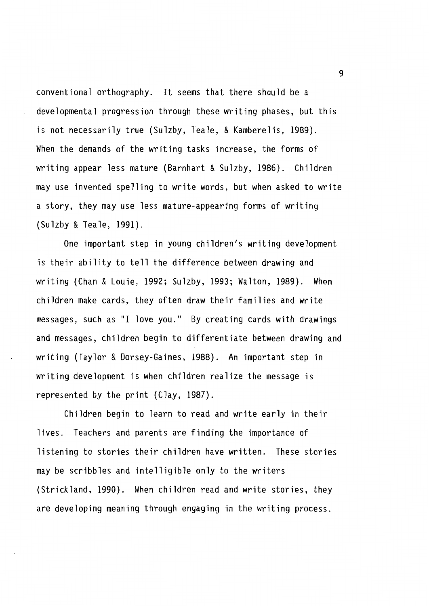conventional orthography. It seems that there should be a developmental progression through these writing phases, but this is not necessarily true (Sulzby, Teale, & Kamberelis, 1989). When the demands of the writing tasks increase, the forms of writing appear less mature (Barnhart & Sulzby, 1986). Children may use invented spelling to write words, but when asked to write a story, they may use less mature-appearing forms of writing (Sulzby & Teale, 1991).

One important step in young children's writing development is their ability to tell the difference between drawing and writing (Chan & Louie, 1992; Sulzby, 1993; Walton, 1989). When children make cards, they often draw their families and write messages, such as "I love you." By creating cards with drawings and messages, children begin to differentiate between drawing and writing (Taylor & Dorsey-Gaines, 1988). An important step in writing development is when children realize the message is represented by the print (Clay, 1987).

Children begin to learn to read and write early in their lives. Teachers and parents are finding the importance of listening to stories their children have written. These stories may be scribbles and intelligible only to the writers (Strickland, 1990). When children read and write stories, they are developing meaning through engaging in the writing process.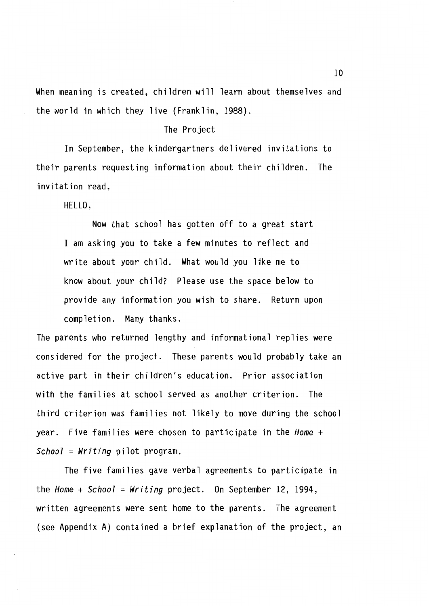When meaning is created, children will learn about themselves and the world in which they live (Franklin, 1988).

#### The Project

In September, the kindergartners delivered invitations to their parents requesting information about their children. The invitation read,

HELLO,

Now that school has gotten off to a great start I am asking you to take a few minutes to reflect and write about your child. What would you like me to know about your child? Please use the space below to provide any information you wish to share. Return upon completion. Many thanks.

The parents who returned lengthy and informational replies were considered for the project. These parents would probably take an active part in their children's education. Prior association with the families at school served as another criterion. The third criterion was families not likely to move during the school year. Five families were chosen to participate in the *Home+ School= Writing* pilot program.

The five families gave verbal agreements to participate in the *Home+ School= Writing* project. On September 12, 1994, written agreements were sent home to the parents. The agreement (see Appendix A) contained a brief explanation of the project, an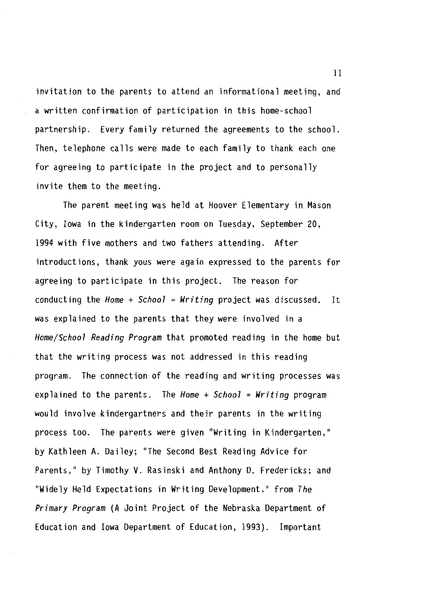invitation to the parents to attend an informational meeting, and a written confirmation of participation in this home-school partnership. Every family returned the agreements to the school. Then, telephone calls were made to each family to thank each one for agreeing to participate in the project and to personally invite them to the meeting.

The parent meeting was held at Hoover Elementary in Mason City, Iowa in the kindergarten room on Tuesday, September 20, 1994 with five mothers and two fathers attending. After introductions, thank yous were again expressed to the parents for agreeing to participate in this project. The reason for conducting the *Home+ School= Writing* project was discussed. It was explained to the parents that they were involved in a *Home/School Reading Program* that promoted reading in the home but that the writing process was not addressed in this reading program. The connection of the reading and writing processes was explained to the parents. The *Home+ School= Writing* program would involve kindergartners and their parents in the writing process too. The parents were given "Writing in Kindergarten,'' by Kathleen A. Dailey; "The Second Best Reading Advice for Parents," by Timothy V. Rasinski and Anthony D. Fredericks; and "Widely Held Expectations in Writing Development," from *The Primary Program* (A Joint Project of the Nebraska Department of Education and Iowa Department of Education, 1993). Important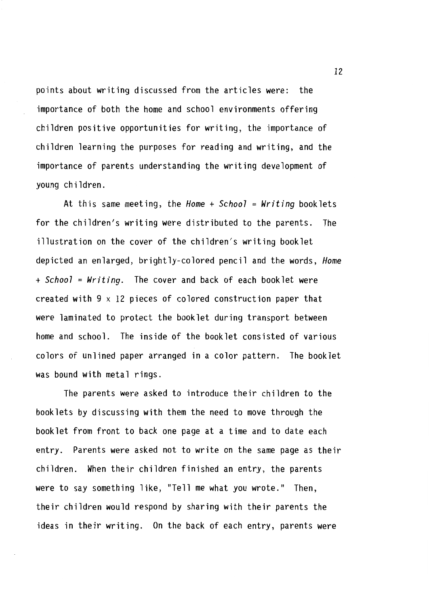points about writing discussed from the articles were: the importance of both the home and school environments offering children positive opportunities for writing, the importance of children learning the purposes for reading and writing, and the importance of parents understanding the writing development of young children.

At this same meeting, the *Home+ School= Writing* booklets for the children's writing were distributed to the parents. The illustration on the cover of the children's writing booklet depicted an enlarged, brightly-colored pencil and the words, *Home +School= Writing.* The cover and back of each booklet were created with 9 x 12 pieces of colored construction paper that were laminated to protect the booklet during transport between home and school. The inside of the booklet consisted of various colors of unlined paper arranged in a color pattern. The booklet was bound with metal rings.

The parents were asked to introduce their children to the booklets by discussing with them the need to move through the booklet from front to back one page at a time and to date each entry. Parents were asked not to write on the same page as their children. When their children finished an entry, the parents were to say something like, "Tell me what you wrote." Then, their children would respond by sharing with their parents the ideas in their writing. On the back of each entry, parents were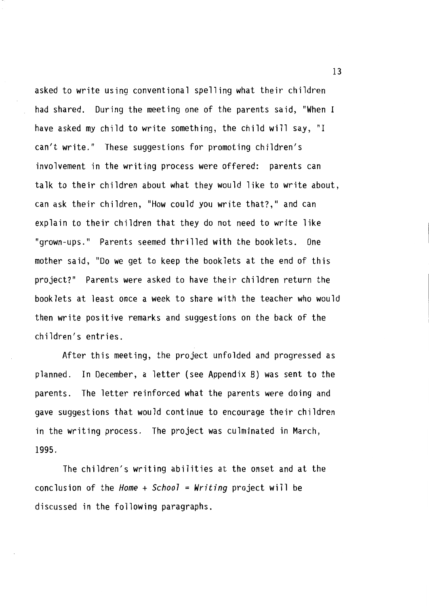asked to write using conventional spelling what their children had shared. During the meeting one of the parents said, "When I have asked my child to write something, the child will say, "I can't write." These suggestions for promoting children's involvement in the writing process were offered: parents can talk to their children about what they would like to write about, can ask their children, "How could you write that?," and can explain to their children that they do not need to write like "grown-ups." Parents seemed thrilled with the booklets. One mother said, "Do we get to keep the booklets at the end of this project?" Parents were asked to have their children return the booklets at least once a week to share with the teacher who would then write positive remarks and suggestions on the back of the children's entries.

After this meeting, the project unfolded and progressed as planned. In December, a letter (see Appendix 8) was sent to the parents. The letter reinforced what the parents were doing and gave suggestions that would continue to encourage their children in the writing process. The project was culminated in March, 1995.

The children's writing abilities at the onset and at the conclusion of the *Home+ School= Writing* project will be discussed in the following paragraphs.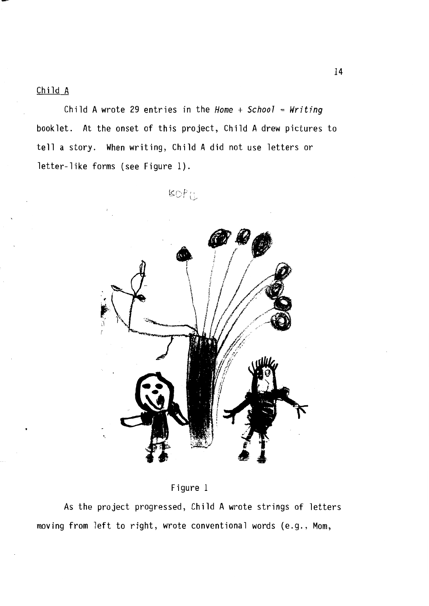Child A

Child A wrote 29 entries in the *Home + School = Writing* booklet. At the onset of this project, Child A drew pictures to tell a story. When writing, Child A did not use letters or letter-like forms (see Figure 1).





Figure 1

As the project progressed, Child A wrote strings of letters moving from left to right, wrote conventional words (e.g., Mom,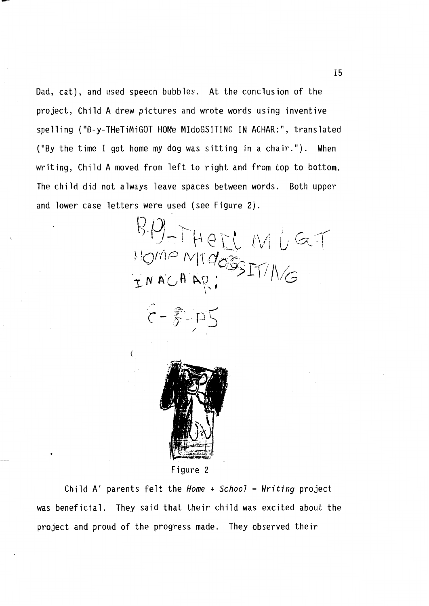Dad, cat), and used speech bubbles. At the conclusion of the project, Child A drew pictures and wrote words using inventive spelling {"B-y-THeTiMiGOT HOMe MldoGSITING IN ACHAR:", translated {"By the time I got home my dog was sitting in a chair."). When writing, Child A moved from left to right and from top to bottom. The child did not always leave spaces between words. Both upper and lower case letters were used {see Figure 2).

 $RP$ -THerl MUGT  $HOMPNTQOS  
INACABROY$ INACAAD  $8 - 8 - 95$ 



*(* 

Figure 2

Child A' parents felt the *Home+ School= Writing* project was beneficial. They said that their child was excited about the project and proud of the progress made. They observed their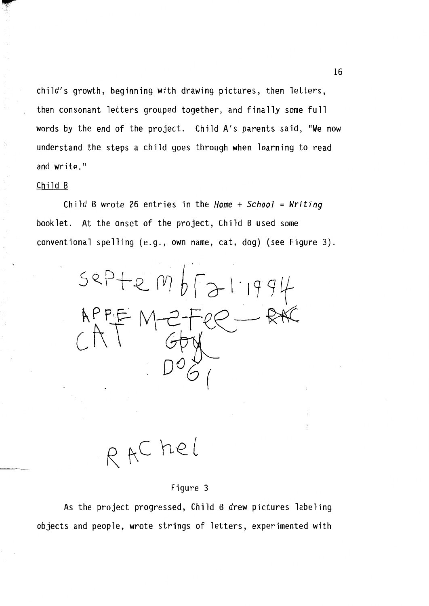child's growth, beginning with drawing pictures, then letters, then consonant letters grouped together, and finally some full words by the end of the project. Child A's parents said, "We now understand the steps a child goes through when learning to read and write."

# Child B

Child B wrote 26 entries in the *Home+ School= Writing*  booklet. At the onset of the project, Child Bused some conventional spelling (e.g., own name, cat, dog) (see Figure 3).



R AC hel

## Figure 3

As the project progressed, Child B drew pictures labeling objects and people, wrote strings of letters, experimented with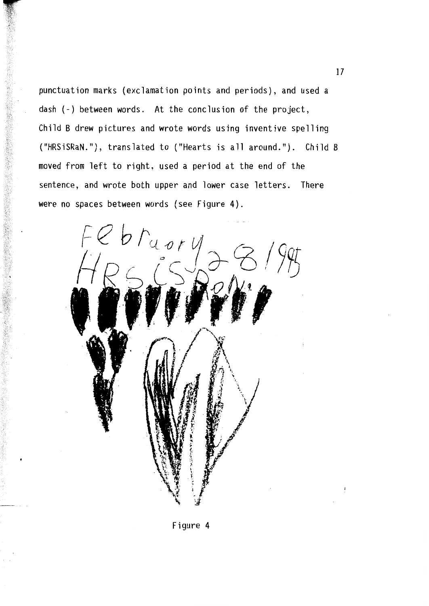punctuation marks (exclamation points and periods), and used a dash(-) between words. At the conclusion of the project, Child B drew pictures and wrote words using inventive spelling ("HRSiSRaN."), translated to ("Hearts is all around."). Child B moved from left to right, used a period at the end of the sentence, and wrote both upper and lower case letters. There were no spaces between words (see Figure 4).

February<br>L'Inclore

Figure 4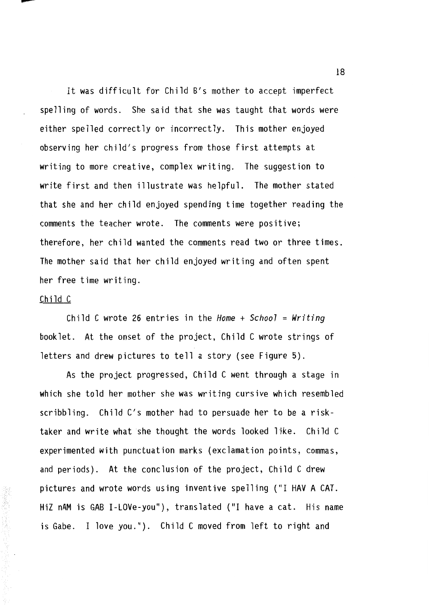It was difficult for Child B's mother to accept imperfect spelling of words. She said that she was taught that words were either spelled correctly or incorrectly. This mother enjoyed observing her child's progress from those first attempts at writing to more creative, complex writing. The suggestion to write first and then illustrate was helpful. The mother stated that she and her child enjoyed spending time together reading the comments the teacher wrote. The comments were positive; therefore, her child wanted the comments read two or three times. The mother said that her child enjoyed writing and often spent her free time writing.

#### Child C

Child C wrote 26 entries in the *Home+ School= Writing*  booklet. At the onset of the project, Child C wrote strings of letters and drew pictures to tell a story (see Figure 5).

As the project progressed, Child C went through a stage in which she told her mother she was writing cursive which resembled scribbling. Child C's mother had to persuade her to be a risktaker and write what she thought the words looked like. Child C experimented with punctuation marks (exclamation points, commas, and periods). At the conclusion of the project, Child C drew pictures and wrote words using inventive spelling ("I HAV A CAT. HiZ nAM is GAB 1-LOVe-you"), translated (''I have a cat. His name is Gabe. I love you."). Child C moved from left to right and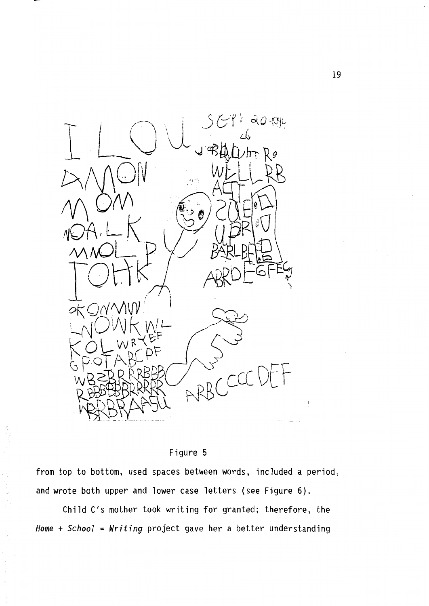

# Figure 5

from top to bottom, used spaces between words, included a period, and wrote both upper and lower case letters (see Figure 6).

Child C's mother took writing for granted; therefore, the *Home+ School= Writing* project gave her a better understanding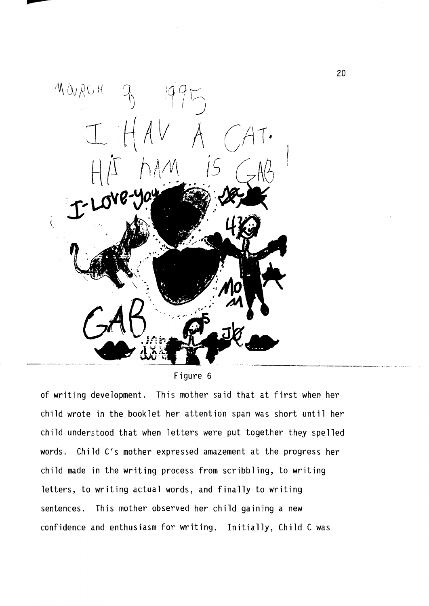

Figure 6

of writing development. This mother said that at first when her child wrote in the booklet her attention span was short until her child understood that when letters were put together they spelled words. Child C's mother expressed amazement at the progress her child made in the writing process from scribbling, to writing letters, to writing actual words, and finally to writing sentences. This mother observed her child gaining a new confidence and enthusiasm for writing. Initially, Child C was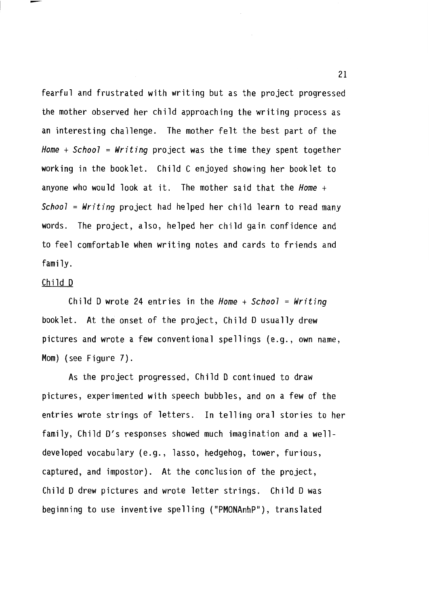fearful and frustrated with writing but as the project progressed the mother observed her child approaching the writing process as an interesting challenge. The mother felt the best part of the *Home+ School= Wrjtjng* project was the time they spent together working in the booklet. Child C enjoyed showing her booklet to anyone who would look at it. The mother said that the *Home+ School= Wrjtjng* project had helped her child learn to read many words. The project, also, helped her child gain confidence and to feel comfortable when writing notes and cards to friends and family.

#### Child D

Child D wrote 24 entries in the *Home+ School= Wrjtjng*  booklet. At the onset of the project, Child D usually drew pictures and wrote a few conventional spellings (e.g., own name, Mom) (see Figure 7).

As the project progressed, Child D continued to draw pictures, experimented with speech bubbles, and on a few of the entries wrote strings of letters. In telling oral stories to her family, Child D's responses showed much imagination and a welldeveloped vocabulary (e.g., lasso, hedgehog, tower, furious, captured, and impostor). At the conclusion of the project, Child D drew pictures and wrote letter strings. Child D was beginning to use inventive spelling ("PMONAnhP''), translated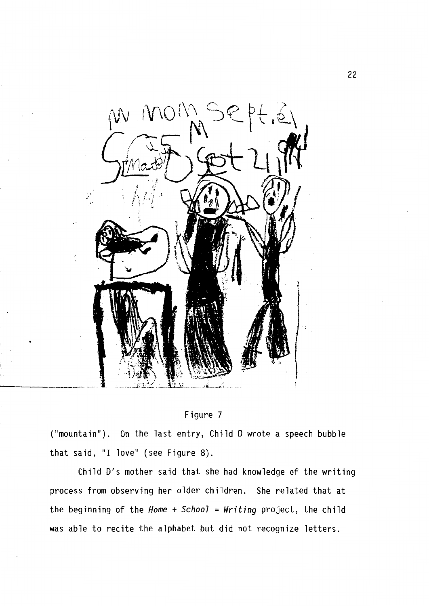



("mountain"). On the last entry, Child D wrote a speech bubble that said, "I love" (see Figure 8).

Child D's mother said that she had knowledge of the writing process from observing her older children. She related that at the beginning of the *Home+ School= Wrjtjng* project, the child was able to recite the alphabet but did not recognize letters.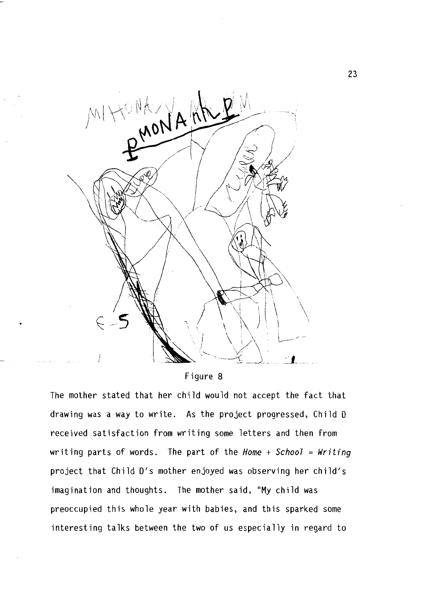

## Figure 8

The mother stated that her child would not accept the fact that drawing was a way to write. As the project progressed, Child D received satisfaction from writing some letters and then from writing parts of words. The part of the *Home+ School= Writing*  project that Child D's mother enjoyed was observing her child's imagination and thoughts. The mother said, "My child was preoccupied this whole year with babies, and this sparked some interesting talks between the two of us especially in regard to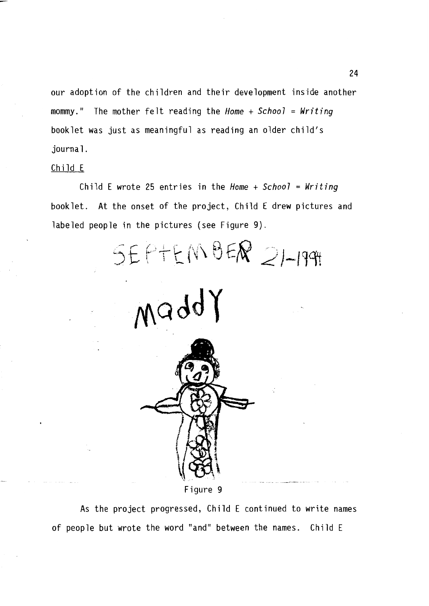our adoption of the children and their development inside another mommy." The mother felt reading the *Home* + *School* = *Writing* booklet was just as meaningful as reading an older child's journal.

# Child E

Child E wrote 25 entries in the *Home+ School= Writing*  booklet. At the onset of the project, Child E drew pictures and labeled people in the pictures (see Figure 9).

SEPTEMBER 21-1999 Maddy



Figure 9

As the project progressed, Child E continued to write names of people but wrote the word "and" between the names. Child E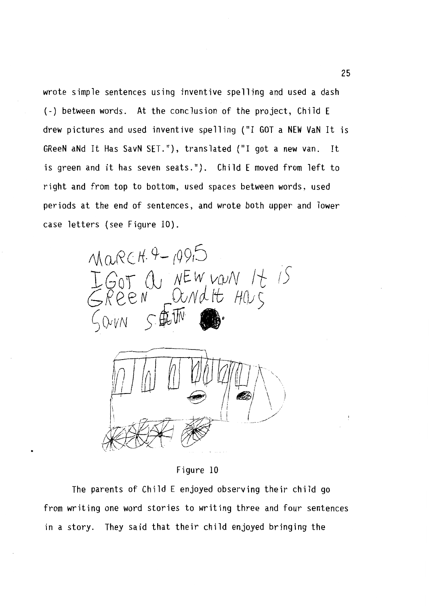wrote simple sentences using inventive spelling and used a dash (-) between words. At the conclusion of the project, Child E drew pictures and used inventive spelling ("I GOT a NEW VaN It is GReeN aNd It Has SavN SET."), translated (''I got a new van. It is green and it has seven seats."). Child E moved from left to right and from top to bottom, used spaces between words, used periods at the end of sentences, and wrote both upper and lower case letters (see Figure 10).

MaRCH. 9-1995 IGOT OU NEW VOUN IT IS

Figure 10

The parents of Child E enjoyed observing their child go from writing one word stories to writing three and four sentences in a story. They said that their child enjoyed bringing the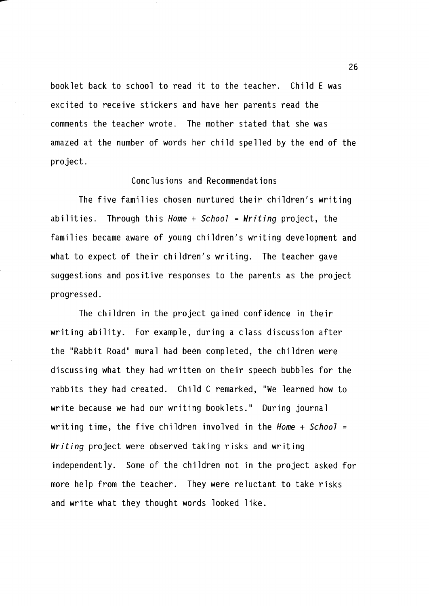booklet back to school to read it to the teacher. Child E was excited to receive stickers and have her parents read the comments the teacher wrote. The mother stated that she was amazed at the number of words her child spelled by the end of the project.

## Conclusions and Recommendations

The five families chosen nurtured their children's writing abilities. Through this *Home+ School= Writing* project, the families became aware of young children's writing development and what to expect of their children's writing. The teacher gave suggestions and positive responses to the parents as the project progressed.

The children in the project gained confidence in their writing ability. For example, during a class discussion after the ''Rabbit Road" mural had been completed, the children were discussing what they had written on their speech bubbles for the rabbits they had created. Child C remarked, "We learned how to write because we had our writing booklets." During journal writing time, the five children involved in the *Home+ School= Writing* project were observed taking risks and writing independently. Some of the children not in the project asked for more help from the teacher. They were reluctant to take risks and write what they thought words looked like.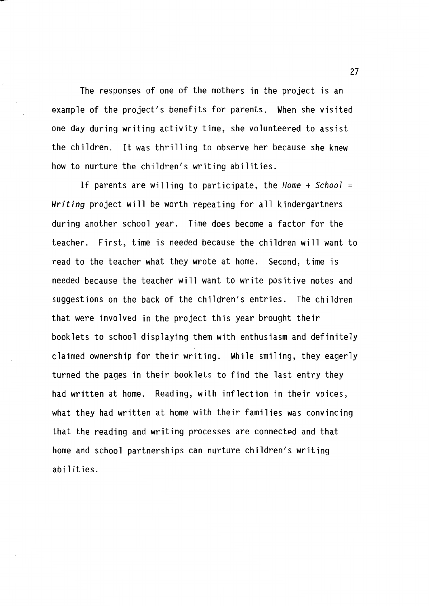The responses of one of the mothers in the project is an example of the project's benefits for parents. When she visited one day during writing activity time, she volunteered to assist the children. It was thrilling to observe her because she knew how to nurture the children's writing abilities.

If parents are willing to participate, the *Home+ School= Writing* project will be worth repeating for all kindergartners during another school year. Time does become a factor for the teacher. First, time is needed because the children will want to read to the teacher what they wrote at home. Second, time is needed because the teacher will want to write positive notes and suggestions on the back of the children's entries. The children that were involved in the project this year brought their booklets to school displaying them with enthusiasm and definitely claimed ownership for their writing. While smiling, they eagerly turned the pages in their booklets to find the last entry they had written at home. Reading, with inflection in their voices, what they had written at home with their families was convincing that the reading and writing processes are connected and that home and school partnerships can nurture children's writing abilities.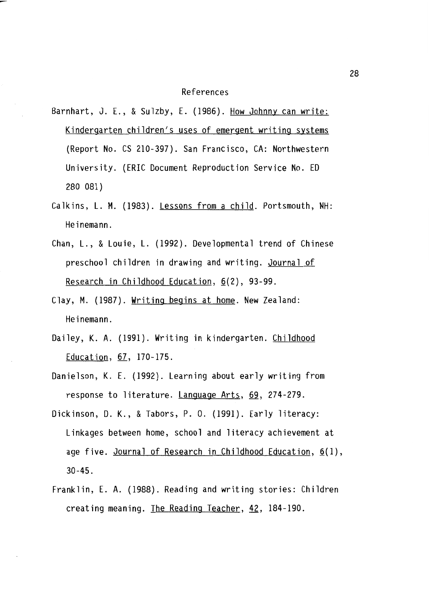#### References

- Barnhart, J. E., & Sulzby, E. (1986). How Johnny can write: Kindergarten children's uses of emergent writing systems (Report No. CS 210-397). San Francisco, CA: Northwestern University. (ERIC Document Reproduction Service No. ED 280 081)
- Calkins, L. M. (1983). Lessons from a child. Portsmouth, NH: Heinemann.
- Chan, L., & Louie, L. (1992). Developmental trend of Chinese preschool children in drawing and writing. Journal of Research in Childhood Education, §(2), 93-99.
- Clay, M. (1987). Writing begins at home. New Zealand: Heinemann.
- Dailey, K. A. (1991). Writing in kindergarten. Childhood Education, 67, 170-175.
- Danielson, K. E. (1992). Learning about early writing from response to literature. Language Arts, 69, 274-279.
- Dickinson, D. K., & Tabors, P. 0. (1991). Early literacy: Linkages between home, school and literacy achievement at age five. Journal of Research in Childhood Education, §(1), 30-45.
- Franklin, E. A. (1988). Reading and writing stories: Children creating meaning. The Reading Teacher, 42, 184-190.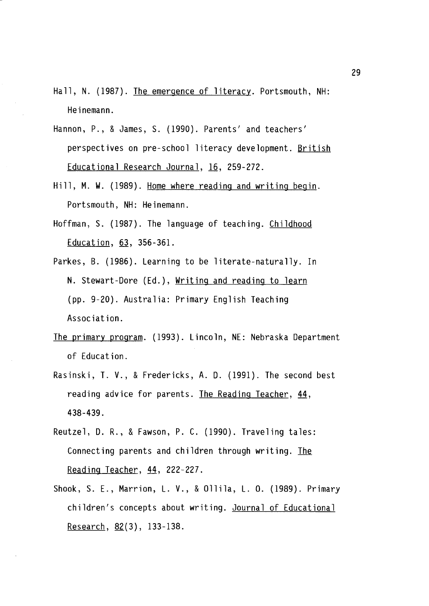- Hall, **N.** (1987). The emergence of literacy. Portsmouth, NH: Heinemann.
- Hannon, P., & James, S. (1990). Parents' and teachers' perspectives on pre-school literacy development. British Educational Research Journal, 16, 259-272.
- Hill, M. W. (1989). Home where reading and writing begin. Portsmouth, NH: Heinemann.
- Hoffman, S. (1987). The language of teaching. Childhood Education, 63, 356-361.
- Parkes, B. (1986). Learning to be literate-naturally. In N. Stewart-Dore (Ed.), Writing and reading to learn (pp. 9-20). Australia: Primary English Teaching Association.
- The primary program. (1993). Lincoln, NE: Nebraska Department of Education.
- Rasinski, T. V., & Fredericks, A. D. (1991). The second best reading advice for parents. The Reading Teacher, **44, 438-439.**
- Reutzel, D. R., & Fawson, P. C. (1990). Traveling tales: Connecting parents and children through writing. The Reading Teacher, 44, 222-227.
- Shook, S. E., Marrion, L. V., & Ollila, L. 0. (1989). Primary children's concepts about writing. Journal of Educational Research, 82(3), 133-138.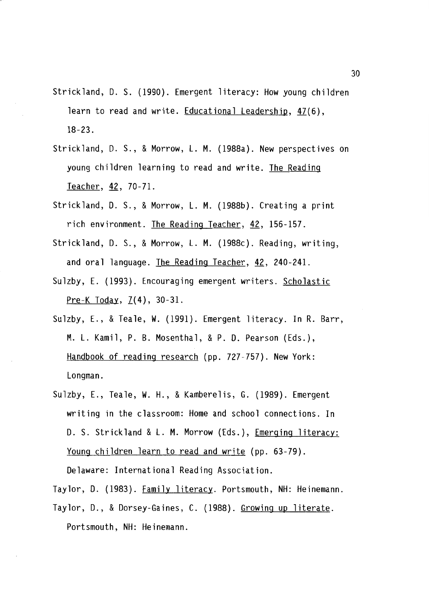- Strickland, D. S. (1990). Emergent literacy: How young children learn to read and write. Educational Leadership, 47(6), 18-23.
- Strickland, D. S., & Morrow, L. M. (1988a). New perspectives on young children learning to read and write. The Reading Teacher, 42, 70-71.
- Strickland, D. S., & Morrow, L. M. (1988b). Creating a print rich environment. The Reading Teacher, 42, 156-157.
- Strickland, D. S., & Morrow, L. M. (1988c). Reading, writing, and oral language. The Reading Teacher, 42, 240-241.
- Sulzby, E. (1993). Encouraging emergent writers. Scholastic Pre-K Today, Z(4), 30-31.
- Sulzby, E., & Teale, W. (1991). Emergent literacy. In R. Barr, M. L. Kamil, P. B. Mosenthal, & P. D. Pearson (Eds.), Handbook of reading research (pp. 727-757). New York: Longman.
- Sulzby, E., Teale, W. H., & Kamberelis, G. (1989). Emergent writing in the classroom: Home and school connections. In D. S. Strickland & L. M. Morrow (Eds.), Emerging literacy: Young children learn to read and write (pp. 63-79).

Delaware: International Reading Association.

Taylor, D. (1983). Family literacy. Portsmouth, NH: Heinemann. Taylor, D., & Dorsey-Gaines, C. (1988). Growing up literate. Portsmouth, NH: Heinemann.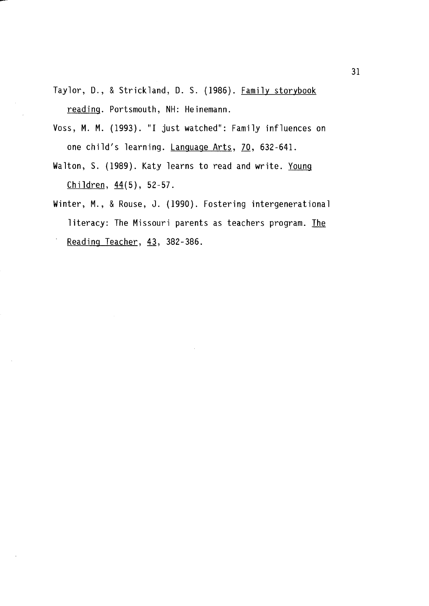- Taylor, D., & Strickland, D. S. (1986). Family storybook reading. Portsmouth, NH: Heinemann.
- Voss, M. M. (1993). "I just watched": Family influences on one child's learning. Language Arts, 70, 632-641.
- Walton, S. (1989). Katy learns to read and write. Young Children, 44(5), 52-57.
- Winter, M., & Rouse, J. (1990). Fostering intergenerational literacy: The Missouri parents as teachers program. The Reading Teacher, 43, 382-386.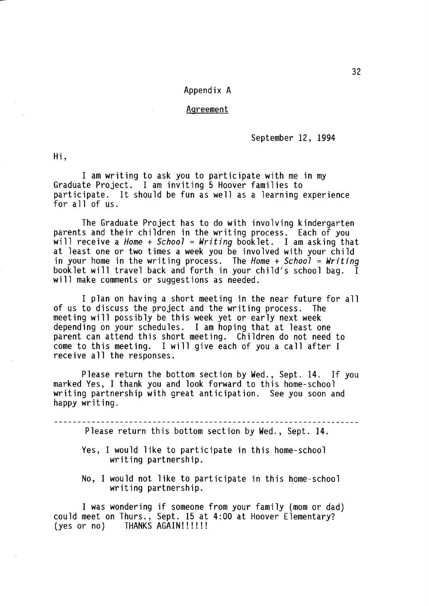## Appendix A

#### **Agreement**

September 12, 1994

Hi,

I am writing to ask you to participate with me in my Graduate Project. I am inviting 5 Hoover families to participate. It should be fun as well as a learning experience<br>for all of us.

The Graduate Project has to do with involving kindergarten<br>parents and their children in the writing process. Each of you will receive a *Home + School = Writing* booklet. I am asking that at least one or two times a week you be involved with your child in your home in the writing process. The *Home+ School= Writing*  booklet will travel back and forth in your child's school bag. I will make comments or suggestions as needed.

I plan on having a short meeting in the near future for all of us to discuss the project and the writing process. The meeting will possibly be this week yet or early next week depending on your schedules. I am hoping that at least one parent can attend this short meeting. Children do not need to come to this meeting. I will give each of you a call after I receive all the responses.

Please return the bottom section by Wed., Sept. 14. If you marked Yes, I thank you and look forward to this home-school writing partnership with great anticipation. See you soon and happy writing.

Please return this bottom section by Wed., Sept. 14.

- 
- Yes, I would like to participate in this home-school writing partnership.
- No, I would not like to participate in this home-school writing partnership.

I was wondering if someone from your family (mom or dad) could meet on Thurs., Sept. 15 at 4:00 at Hoover Elementary? (yes or no) THANKS AGAIN!!!!!!